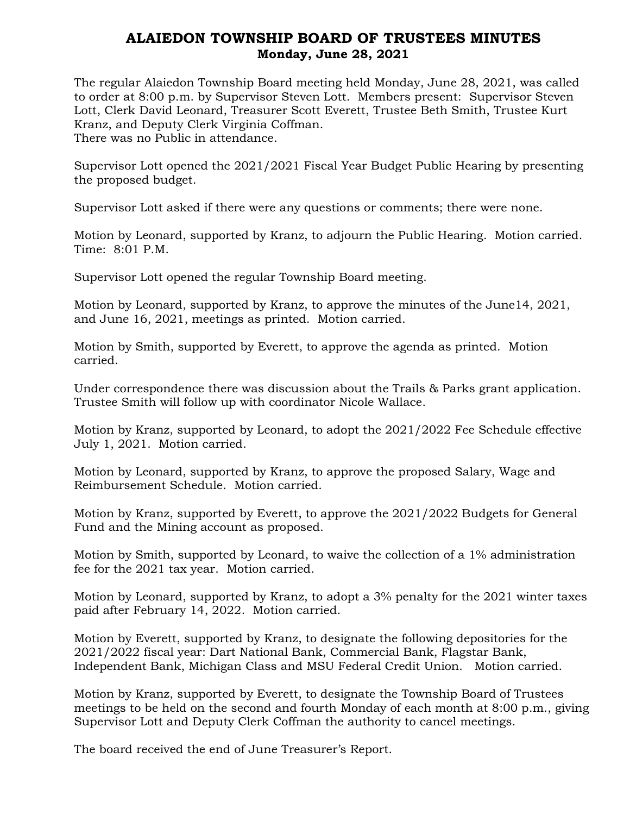## ALAIEDON TOWNSHIP BOARD OF TRUSTEES MINUTES Monday, June 28, 2021

The regular Alaiedon Township Board meeting held Monday, June 28, 2021, was called to order at 8:00 p.m. by Supervisor Steven Lott. Members present: Supervisor Steven Lott, Clerk David Leonard, Treasurer Scott Everett, Trustee Beth Smith, Trustee Kurt Kranz, and Deputy Clerk Virginia Coffman. There was no Public in attendance.

Supervisor Lott opened the 2021/2021 Fiscal Year Budget Public Hearing by presenting the proposed budget.

Supervisor Lott asked if there were any questions or comments; there were none.

Motion by Leonard, supported by Kranz, to adjourn the Public Hearing. Motion carried. Time: 8:01 P.M.

Supervisor Lott opened the regular Township Board meeting.

Motion by Leonard, supported by Kranz, to approve the minutes of the June14, 2021, and June 16, 2021, meetings as printed. Motion carried.

Motion by Smith, supported by Everett, to approve the agenda as printed. Motion carried.

Under correspondence there was discussion about the Trails & Parks grant application. Trustee Smith will follow up with coordinator Nicole Wallace.

Motion by Kranz, supported by Leonard, to adopt the 2021/2022 Fee Schedule effective July 1, 2021. Motion carried.

Motion by Leonard, supported by Kranz, to approve the proposed Salary, Wage and Reimbursement Schedule. Motion carried.

Motion by Kranz, supported by Everett, to approve the 2021/2022 Budgets for General Fund and the Mining account as proposed.

Motion by Smith, supported by Leonard, to waive the collection of a 1% administration fee for the 2021 tax year. Motion carried.

Motion by Leonard, supported by Kranz, to adopt a 3% penalty for the 2021 winter taxes paid after February 14, 2022. Motion carried.

Motion by Everett, supported by Kranz, to designate the following depositories for the 2021/2022 fiscal year: Dart National Bank, Commercial Bank, Flagstar Bank, Independent Bank, Michigan Class and MSU Federal Credit Union. Motion carried.

Motion by Kranz, supported by Everett, to designate the Township Board of Trustees meetings to be held on the second and fourth Monday of each month at 8:00 p.m., giving Supervisor Lott and Deputy Clerk Coffman the authority to cancel meetings.

The board received the end of June Treasurer's Report.